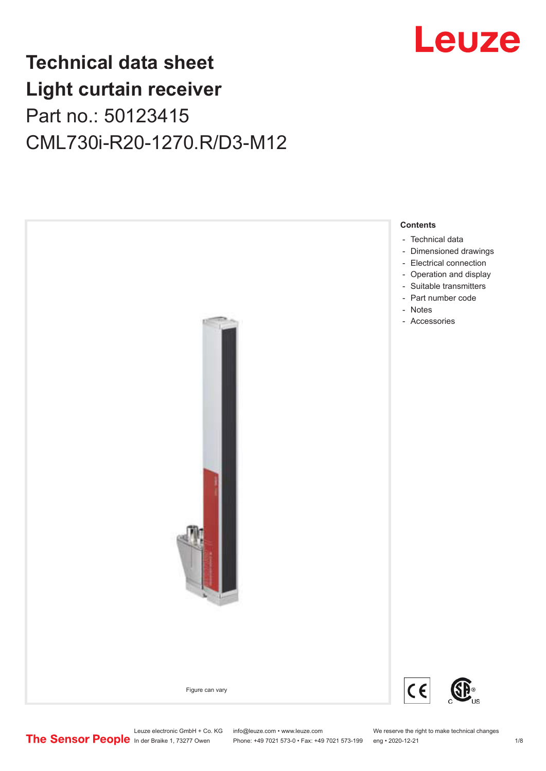

## **Technical data sheet Light curtain receiver** Part no.: 50123415 CML730i-R20-1270.R/D3-M12

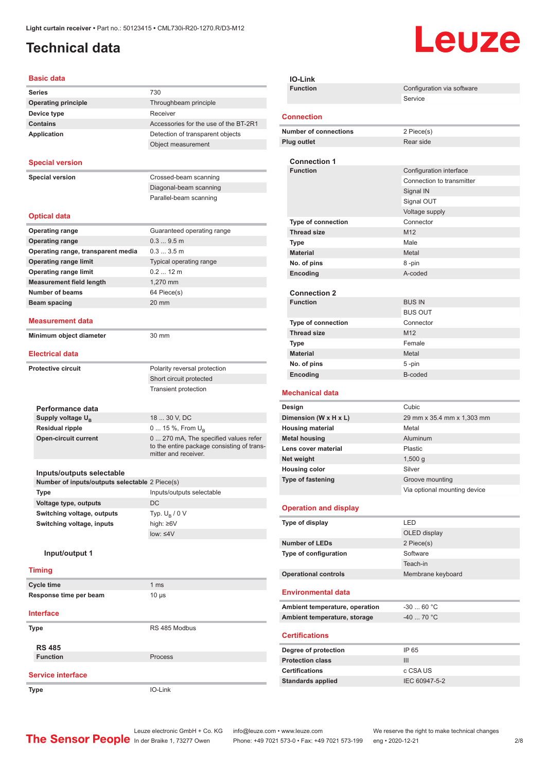### <span id="page-1-0"></span>**Technical data**

# Leuze

#### **Basic data**

| Daəit uata                                     |                                                                    |
|------------------------------------------------|--------------------------------------------------------------------|
| <b>Series</b>                                  | 730                                                                |
| <b>Operating principle</b>                     | Throughbeam principle                                              |
| Device type                                    | Receiver                                                           |
| <b>Contains</b>                                | Accessories for the use of the BT-2R1                              |
| Application                                    | Detection of transparent objects                                   |
|                                                | Object measurement                                                 |
| <b>Special version</b>                         |                                                                    |
| <b>Special version</b>                         | Crossed-beam scanning                                              |
|                                                | Diagonal-beam scanning                                             |
|                                                | Parallel-beam scanning                                             |
| <b>Optical data</b>                            |                                                                    |
| <b>Operating range</b>                         | Guaranteed operating range                                         |
| <b>Operating range</b>                         | 0.39.5m                                                            |
| Operating range, transparent media             | 0.33.5m                                                            |
| <b>Operating range limit</b>                   | Typical operating range                                            |
| <b>Operating range limit</b>                   | $0.212$ m                                                          |
| <b>Measurement field length</b>                | 1,270 mm                                                           |
| <b>Number of beams</b>                         | 64 Piece(s)                                                        |
| <b>Beam spacing</b>                            | $20 \text{ mm}$                                                    |
| <b>Measurement data</b>                        |                                                                    |
| Minimum object diameter                        | 30 mm                                                              |
| <b>Electrical data</b>                         |                                                                    |
|                                                |                                                                    |
| <b>Protective circuit</b>                      | Polarity reversal protection                                       |
|                                                | Short circuit protected                                            |
|                                                | Transient protection                                               |
|                                                |                                                                    |
| Performance data<br>Supply voltage $U_{B}$     | 18  30 V, DC                                                       |
| <b>Residual ripple</b>                         | 0  15 %, From $U_{\rm B}$                                          |
| <b>Open-circuit current</b>                    | 0  270 mA, The specified values refer                              |
|                                                | to the entire package consisting of trans-<br>mitter and receiver. |
|                                                |                                                                    |
| Inputs/outputs selectable                      |                                                                    |
| Number of inputs/outputs selectable 2 Piece(s) |                                                                    |
| Type                                           | Inputs/outputs selectable<br>DC                                    |
| Voltage type, outputs                          |                                                                    |
| Switching voltage, outputs                     | Typ. $U_B / 0 V$                                                   |
| Switching voltage, inputs                      | high: ≥6V<br>low: $\leq 4V$                                        |
|                                                |                                                                    |
| Input/output 1                                 |                                                                    |
| <b>Timing</b>                                  |                                                                    |
| <b>Cycle time</b>                              | 1 <sub>ms</sub>                                                    |
| Response time per beam                         | $10 \mu s$                                                         |
| <b>Interface</b>                               |                                                                    |
| <b>Type</b>                                    | RS 485 Modbus                                                      |
| <b>RS 485</b>                                  |                                                                    |
| <b>Function</b>                                | Process                                                            |
| <b>Service interface</b>                       |                                                                    |
|                                                | IO-Link                                                            |
| Type                                           |                                                                    |

| <b>IO-Link</b>                                  |                                       |
|-------------------------------------------------|---------------------------------------|
| <b>Function</b>                                 | Configuration via software<br>Service |
| <b>Connection</b>                               |                                       |
| <b>Number of connections</b>                    | 2 Piece(s)                            |
| <b>Plug outlet</b>                              | Rear side                             |
|                                                 |                                       |
| <b>Connection 1</b><br><b>Function</b>          | Configuration interface               |
|                                                 | Connection to transmitter             |
|                                                 | Signal IN                             |
|                                                 | Signal OUT                            |
|                                                 | Voltage supply                        |
| Type of connection                              | Connector                             |
| <b>Thread size</b>                              | M12                                   |
| Type                                            | Male                                  |
| <b>Material</b>                                 | Metal                                 |
| No. of pins                                     | 8-pin                                 |
| Encoding                                        | A-coded                               |
|                                                 |                                       |
| <b>Connection 2</b>                             |                                       |
| <b>Function</b>                                 | <b>BUS IN</b>                         |
|                                                 | <b>BUS OUT</b>                        |
| <b>Type of connection</b><br><b>Thread size</b> | Connector                             |
|                                                 | M12<br>Female                         |
| Type<br><b>Material</b>                         | Metal                                 |
| No. of pins                                     | 5-pin                                 |
| Encoding                                        | B-coded                               |
|                                                 |                                       |
| <b>Mechanical data</b>                          |                                       |
| Design                                          | Cubic                                 |
| Dimension (W x H x L)                           | 29 mm x 35.4 mm x 1,303 mm            |
| <b>Housing material</b>                         | Metal<br>Aluminum                     |
| <b>Metal housing</b><br>Lens cover material     | Plastic                               |
| Net weight                                      | $1,500$ g                             |
| <b>Housing color</b>                            | Silver                                |
| Type of fastening                               | Groove mounting                       |
|                                                 | Via optional mounting device          |
|                                                 |                                       |
| <b>Operation and display</b>                    |                                       |
|                                                 |                                       |
| Type of display                                 | LED                                   |
|                                                 | OLED display                          |
| <b>Number of LEDs</b>                           | 2 Piece(s)                            |
| Type of configuration                           | Software                              |
|                                                 | Teach-in                              |
| <b>Operational controls</b>                     | Membrane keyboard                     |
| <b>Environmental data</b>                       |                                       |
| Ambient temperature, operation                  | $-30$ 60 °C                           |
| Ambient temperature, storage                    | $-4070 °C$                            |
| <b>Certifications</b>                           |                                       |
| Degree of protection                            | IP 65                                 |
| <b>Protection class</b>                         | III                                   |
| <b>Certifications</b>                           | c CSA US                              |
| <b>Standards applied</b>                        | IEC 60947-5-2                         |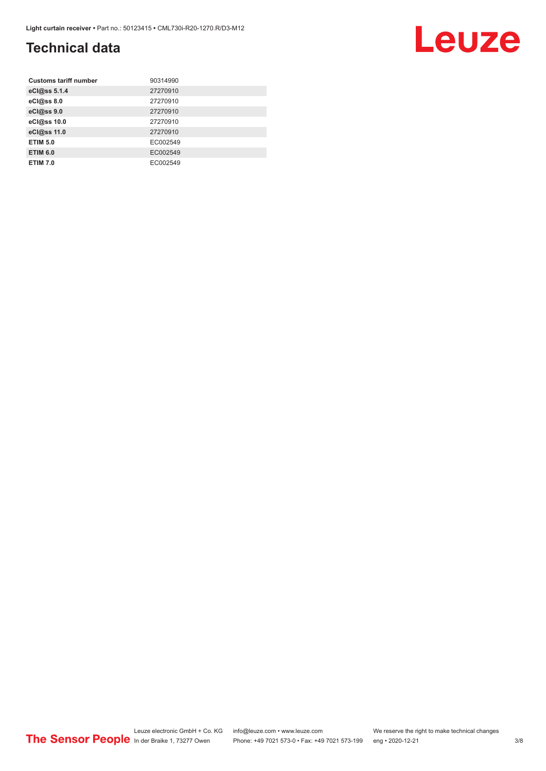### **Technical data**

| <b>Customs tariff number</b> | 90314990 |
|------------------------------|----------|
| eCl@ss 5.1.4                 | 27270910 |
| eCl@ss 8.0                   | 27270910 |
| eCl@ss 9.0                   | 27270910 |
| eCl@ss 10.0                  | 27270910 |
| eCl@ss 11.0                  | 27270910 |
| <b>ETIM 5.0</b>              | EC002549 |
| <b>ETIM 6.0</b>              | EC002549 |
| <b>ETIM 7.0</b>              | EC002549 |

#### Leuze electronic GmbH + Co. KG info@leuze.com • www.leuze.com We reserve the right to make technical changes ln der Braike 1, 73277 Owen Phone: +49 7021 573-0 • Fax: +49 7021 573-199 eng • 2020-12-21 3/8

## Leuze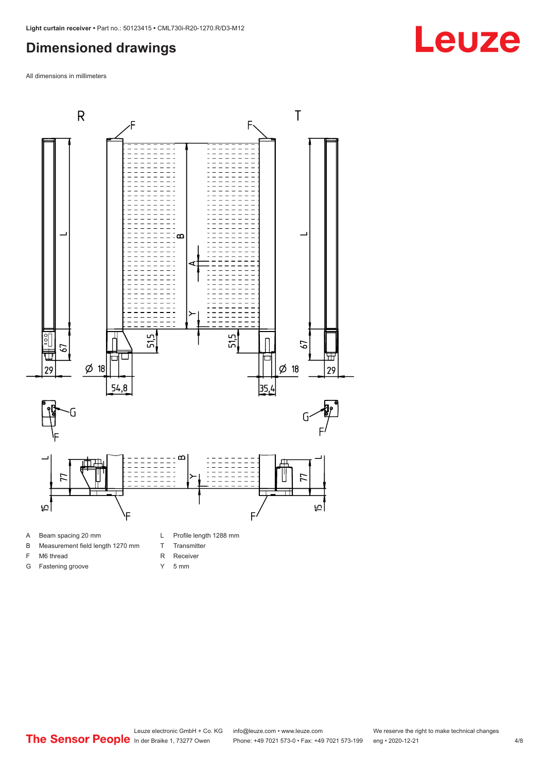#### <span id="page-3-0"></span>**Dimensioned drawings**

All dimensions in millimeters



- 
- B Measurement field length 1270 mm
- F M6 thread

G Fastening groove

R Receiver

T Transmitter

Y 5 mm

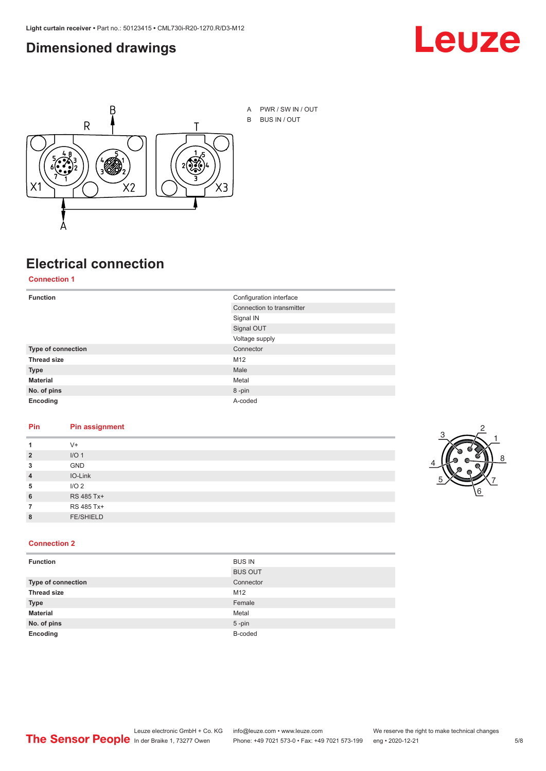#### <span id="page-4-0"></span>**Dimensioned drawings**





A PWR / SW IN / OUT B BUS IN / OUT

## **Electrical connection**

**Connection 1**

| <b>Function</b>    | Configuration interface   |
|--------------------|---------------------------|
|                    | Connection to transmitter |
|                    | Signal IN                 |
|                    | Signal OUT                |
|                    | Voltage supply            |
| Type of connection | Connector                 |
| <b>Thread size</b> | M12                       |
| <b>Type</b>        | Male                      |
| <b>Material</b>    | Metal                     |
| No. of pins        | 8-pin                     |
| Encoding           | A-coded                   |

#### **Pin Pin assignment**

|                | $V +$            |  |  |
|----------------|------------------|--|--|
| $\overline{2}$ | I/O <sub>1</sub> |  |  |
| 3              | <b>GND</b>       |  |  |
| $\overline{4}$ | IO-Link          |  |  |
| 5              | I/O <sub>2</sub> |  |  |
| 6              | RS 485 Tx+       |  |  |
|                | RS 485 Tx+       |  |  |
| 8              | <b>FE/SHIELD</b> |  |  |
|                |                  |  |  |



#### **Connection 2**

| <b>Function</b>    | <b>BUS IN</b>  |
|--------------------|----------------|
|                    | <b>BUS OUT</b> |
| Type of connection | Connector      |
| <b>Thread size</b> | M12            |
| <b>Type</b>        | Female         |
| <b>Material</b>    | Metal          |
| No. of pins        | $5$ -pin       |
| Encoding           | B-coded        |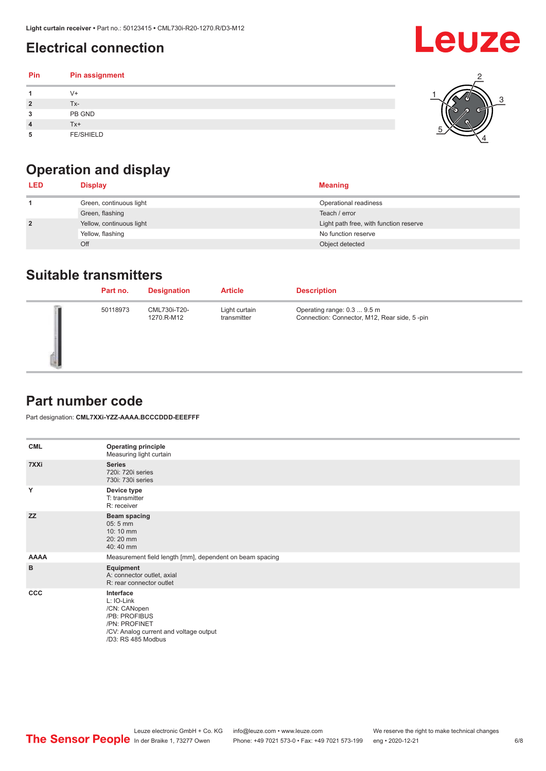### <span id="page-5-0"></span>**Electrical connection**

| Pin | Pin assignment   |  |
|-----|------------------|--|
|     | V+               |  |
| ∍   | Tx-              |  |
| 3   | PB GND           |  |
|     | Tx+              |  |
| 5   | <b>FE/SHIELD</b> |  |

### **Operation and display**

| <b>LED</b>     | <b>Display</b>           | <b>Meaning</b>                         |
|----------------|--------------------------|----------------------------------------|
|                | Green, continuous light  | Operational readiness                  |
|                | Green, flashing          | Teach / error                          |
| $\overline{2}$ | Yellow, continuous light | Light path free, with function reserve |
|                | Yellow, flashing         | No function reserve                    |
|                | Off                      | Object detected                        |

#### **Suitable transmitters**

| Part no. | <b>Designation</b>         | <b>Article</b>               | <b>Description</b>                                                          |
|----------|----------------------------|------------------------------|-----------------------------------------------------------------------------|
| 50118973 | CML730i-T20-<br>1270.R-M12 | Light curtain<br>transmitter | Operating range: 0.3  9.5 m<br>Connection: Connector, M12, Rear side, 5-pin |

#### **Part number code**

Part designation: **CML7XXi-YZZ-AAAA.BCCCDDD-EEEFFF**

| <b>CML</b>  | <b>Operating principle</b><br>Measuring light curtain                                                                                     |
|-------------|-------------------------------------------------------------------------------------------------------------------------------------------|
| 7XXi        | <b>Series</b><br>720i: 720i series<br>730i: 730i series                                                                                   |
| Y           | Device type<br>T: transmitter<br>R: receiver                                                                                              |
| <b>ZZ</b>   | <b>Beam spacing</b><br>$05:5$ mm<br>10:10 mm<br>20:20 mm<br>40:40 mm                                                                      |
| <b>AAAA</b> | Measurement field length [mm], dependent on beam spacing                                                                                  |
| B           | Equipment<br>A: connector outlet, axial<br>R: rear connector outlet                                                                       |
| CCC         | Interface<br>L: IO-Link<br>/CN: CANopen<br>/PB: PROFIBUS<br>/PN: PROFINET<br>/CV: Analog current and voltage output<br>/D3: RS 485 Modbus |

**Leuze**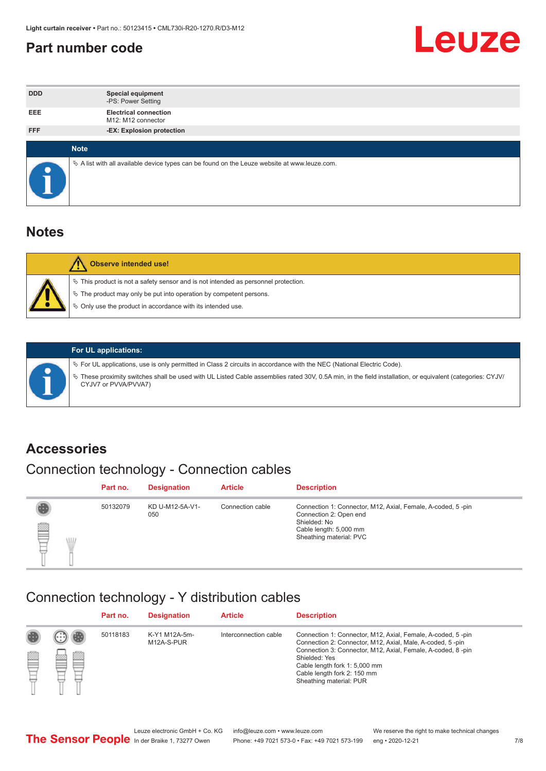#### <span id="page-6-0"></span>**Part number code**



| <b>DDD</b> | <b>Special equipment</b><br>-PS: Power Setting                                                  |
|------------|-------------------------------------------------------------------------------------------------|
| <b>EEE</b> | <b>Electrical connection</b><br>M12: M12 connector                                              |
| <b>FFF</b> | -EX: Explosion protection                                                                       |
|            |                                                                                                 |
|            | <b>Note</b>                                                                                     |
|            | $\&$ A list with all available device types can be found on the Leuze website at www.leuze.com. |

#### **Notes**

| $\%$ The product may only be put into operation by competent persons.<br>₿ Only use the product in accordance with its intended use. | $\%$ This product is not a safety sensor and is not intended as personnel protection. |
|--------------------------------------------------------------------------------------------------------------------------------------|---------------------------------------------------------------------------------------|



#### **For UL applications:**

ª For UL applications, use is only permitted in Class 2 circuits in accordance with the NEC (National Electric Code). ª These proximity switches shall be used with UL Listed Cable assemblies rated 30V, 0.5A min, in the field installation, or equivalent (categories: CYJV/ CYJV7 or PVVA/PVVA7)

#### **Accessories**

### Connection technology - Connection cables

|        | Part no. | <b>Designation</b>     | <b>Article</b>   | <b>Description</b>                                                                                                                                         |
|--------|----------|------------------------|------------------|------------------------------------------------------------------------------------------------------------------------------------------------------------|
| 2<br>W | 50132079 | KD U-M12-5A-V1-<br>050 | Connection cable | Connection 1: Connector, M12, Axial, Female, A-coded, 5-pin<br>Connection 2: Open end<br>Shielded: No<br>Cable length: 5,000 mm<br>Sheathing material: PVC |

#### Connection technology - Y distribution cables

|        |         | Part no. | <b>Designation</b>          | <b>Article</b>        | <b>Description</b>                                                                                                                                                                                                                                                                                  |
|--------|---------|----------|-----------------------------|-----------------------|-----------------------------------------------------------------------------------------------------------------------------------------------------------------------------------------------------------------------------------------------------------------------------------------------------|
| ø<br>٣ | œ<br>w. | 50118183 | K-Y1 M12A-5m-<br>M12A-S-PUR | Interconnection cable | Connection 1: Connector, M12, Axial, Female, A-coded, 5-pin<br>Connection 2: Connector, M12, Axial, Male, A-coded, 5-pin<br>Connection 3: Connector, M12, Axial, Female, A-coded, 8-pin<br>Shielded: Yes<br>Cable length fork 1: 5,000 mm<br>Cable length fork 2: 150 mm<br>Sheathing material: PUR |